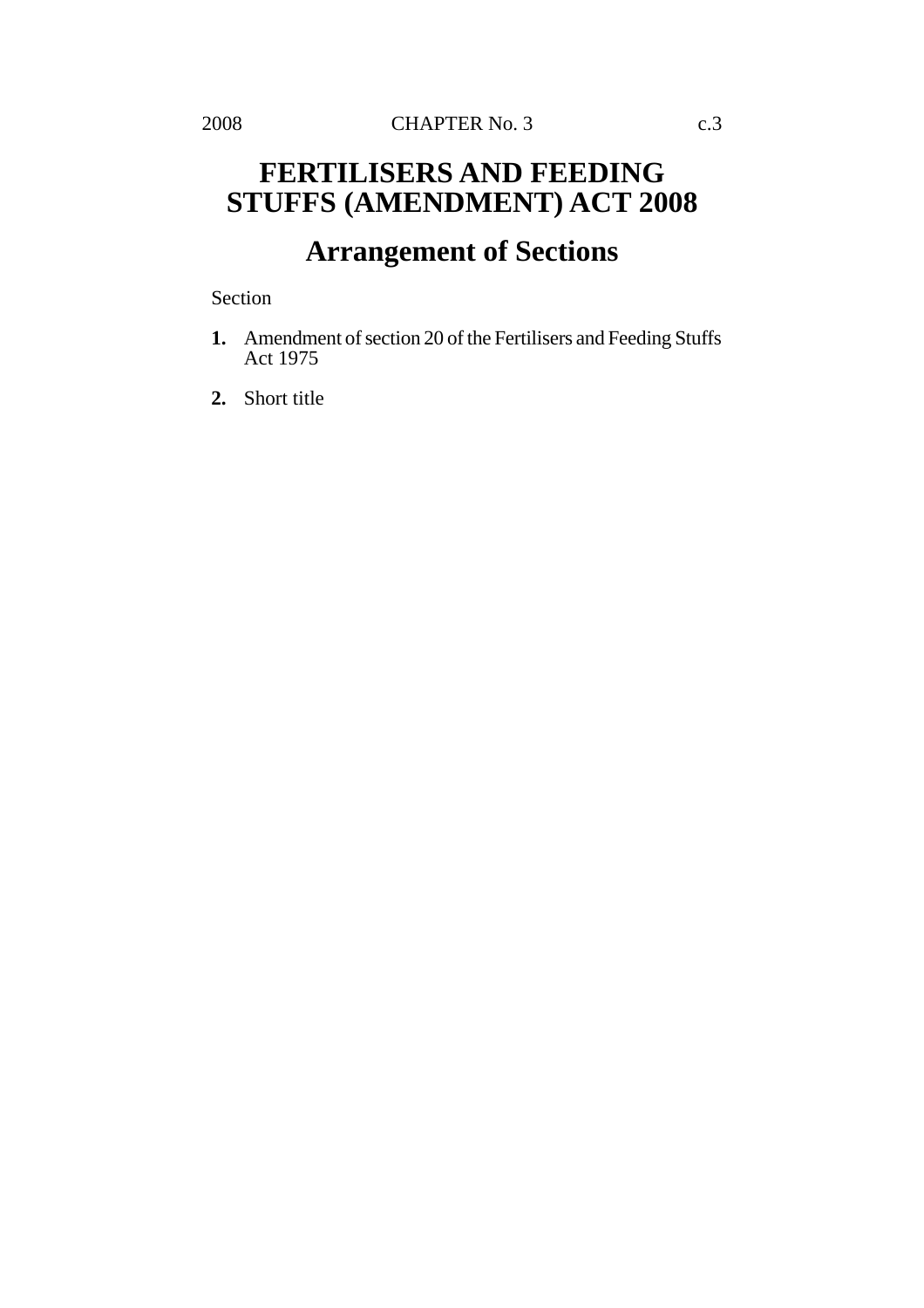## **FERTILISERS AND FEEDING STUFFS (AMENDMENT) ACT 2008**

## **Arrangement of Sections**

Section

**1.** Amendment of section 20 of the Fertilisers and Feeding Stuffs Act 1975

**2.** Short title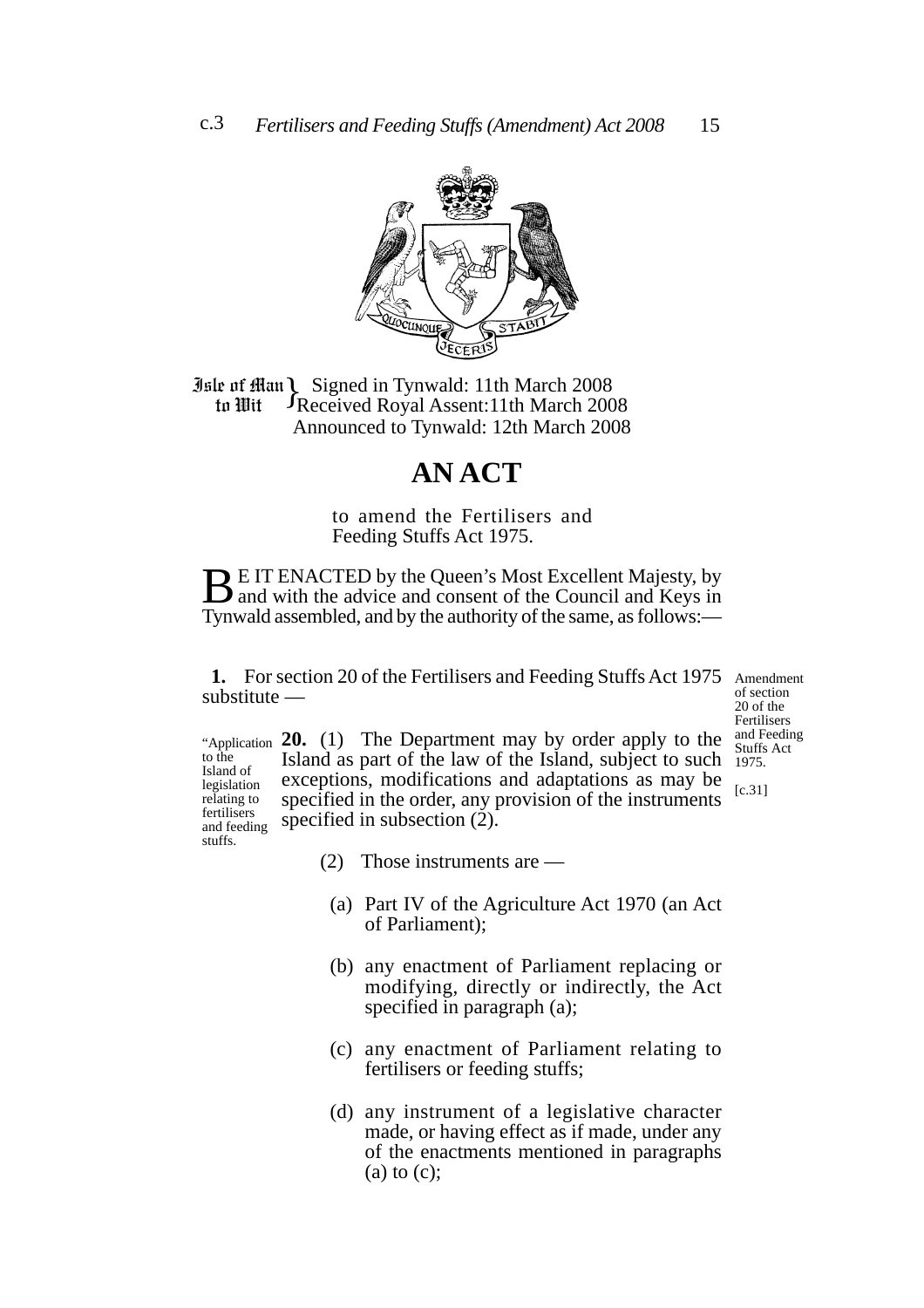

**Jule of Han Signed in Tynwald: 11th March 2008**<br>**10 In Wit** Freceived Royal Assent: 11th March 200 Received Royal Assent:11th March 2008 Announced to Tynwald: 12th March 2008 to Wit

## **AN ACT**

to amend the Fertilisers and Feeding Stuffs Act 1975.

**BE IT ENACTED by the Queen's Most Excellent Majesty, by** and with the advice and consent of the Council and Keys in Tynwald assembled, and by the authority of the same, as follows:—

1. For section 20 of the Fertilisers and Feeding Stuffs Act 1975 Amendment substitute —

of section 20 of the Fertilisers and Feeding Stuffs Act 1975.

[c.31]

"Application **20.** (1) The Department may by order apply to the Island as part of the law of the Island, subject to such exceptions, modifications and adaptations as may be specified in the order, any provision of the instruments specified in subsection (2). Island of legislation relating to fertilisers and feeding

(2) Those instruments are —

to the

stuffs.

- (a) Part IV of the Agriculture Act 1970 (an Act of Parliament);
- (b) any enactment of Parliament replacing or modifying, directly or indirectly, the Act specified in paragraph (a);
- (c) any enactment of Parliament relating to fertilisers or feeding stuffs;
- (d) any instrument of a legislative character made, or having effect as if made, under any of the enactments mentioned in paragraphs (a) to (c);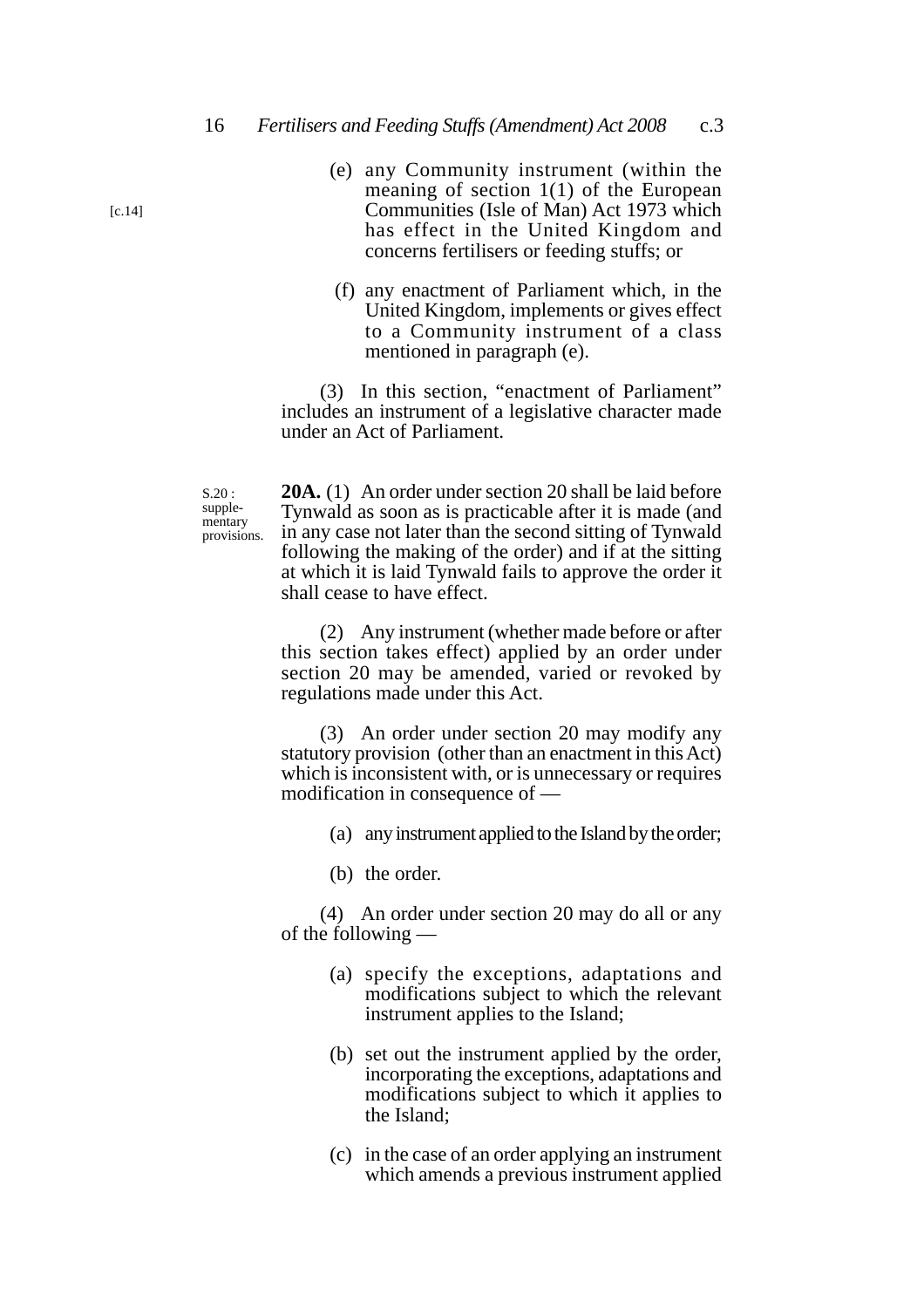- (e) any Community instrument (within the meaning of section 1(1) of the European Communities (Isle of Man) Act 1973 which has effect in the United Kingdom and concerns fertilisers or feeding stuffs; or
- (f) any enactment of Parliament which, in the United Kingdom, implements or gives effect to a Community instrument of a class mentioned in paragraph (e).

(3) In this section, "enactment of Parliament" includes an instrument of a legislative character made under an Act of Parliament.

S.20 : supplementary provisions.

**20A.** (1) An order under section 20 shall be laid before Tynwald as soon as is practicable after it is made (and in any case not later than the second sitting of Tynwald following the making of the order) and if at the sitting at which it is laid Tynwald fails to approve the order it shall cease to have effect.

(2) Any instrument (whether made before or after this section takes effect) applied by an order under section 20 may be amended, varied or revoked by regulations made under this Act.

(3) An order under section 20 may modify any statutory provision (other than an enactment in this Act) which is inconsistent with, or is unnecessary or requires modification in consequence of —

- (a) any instrument applied to the Island by the order;
- (b) the order.

(4) An order under section 20 may do all or any of the following —

- (a) specify the exceptions, adaptations and modifications subject to which the relevant instrument applies to the Island;
- (b) set out the instrument applied by the order, incorporating the exceptions, adaptations and modifications subject to which it applies to the Island;
- (c) in the case of an order applying an instrument which amends a previous instrument applied

 $[c.14]$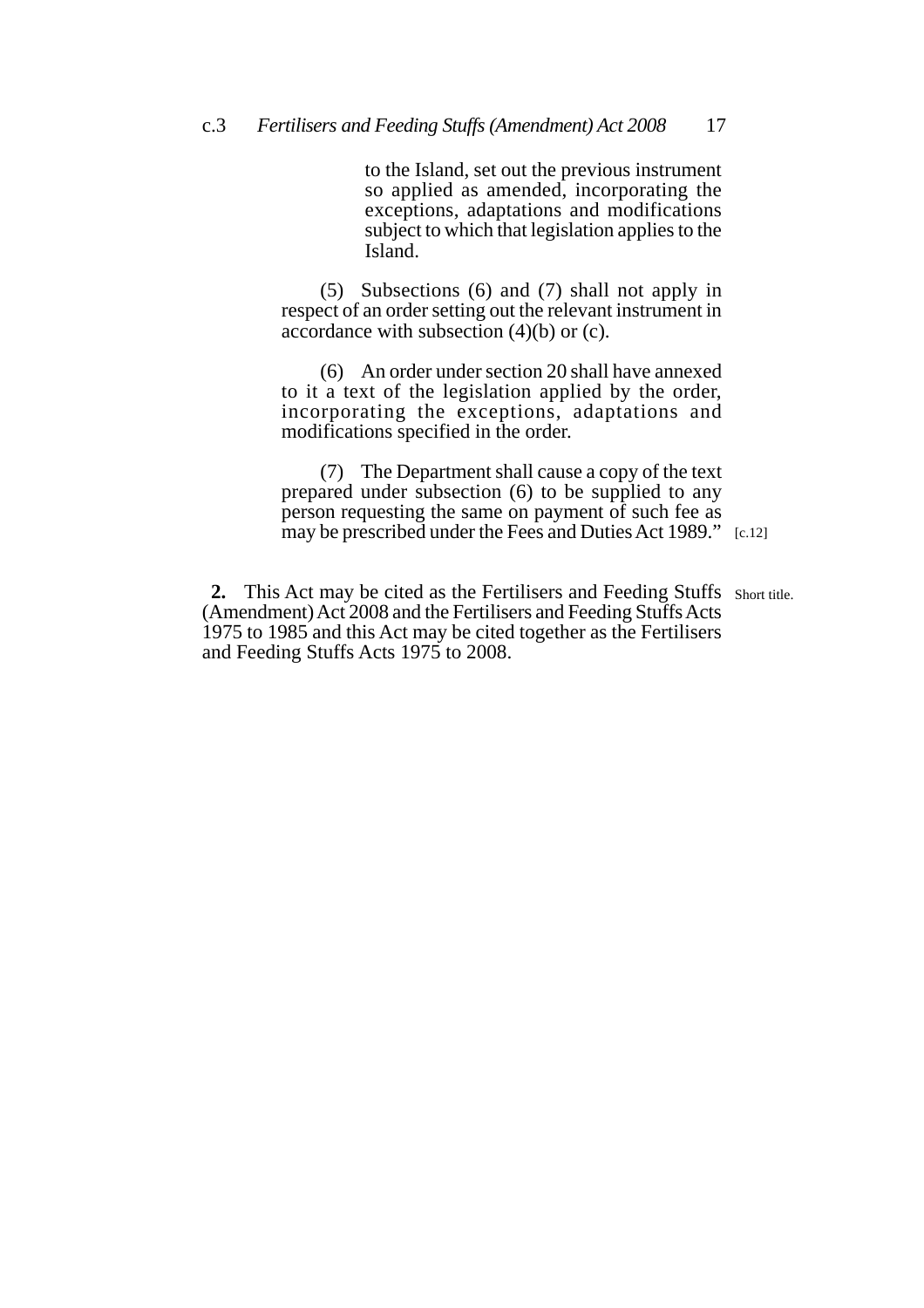to the Island, set out the previous instrument so applied as amended, incorporating the exceptions, adaptations and modifications subject to which that legislation applies to the Island.

(5) Subsections (6) and (7) shall not apply in respect of an order setting out the relevant instrument in accordance with subsection  $(4)(b)$  or  $(c)$ .

(6) An order under section 20 shall have annexed to it a text of the legislation applied by the order, incorporating the exceptions, adaptations and modifications specified in the order.

may be prescribed under the Fees and Duties Act 1989." [c.12] (7) The Department shall cause a copy of the text prepared under subsection (6) to be supplied to any person requesting the same on payment of such fee as

2. This Act may be cited as the Fertilisers and Feeding Stuffs Short title. (Amendment) Act 2008 and the Fertilisers and Feeding Stuffs Acts 1975 to 1985 and this Act may be cited together as the Fertilisers and Feeding Stuffs Acts 1975 to 2008.